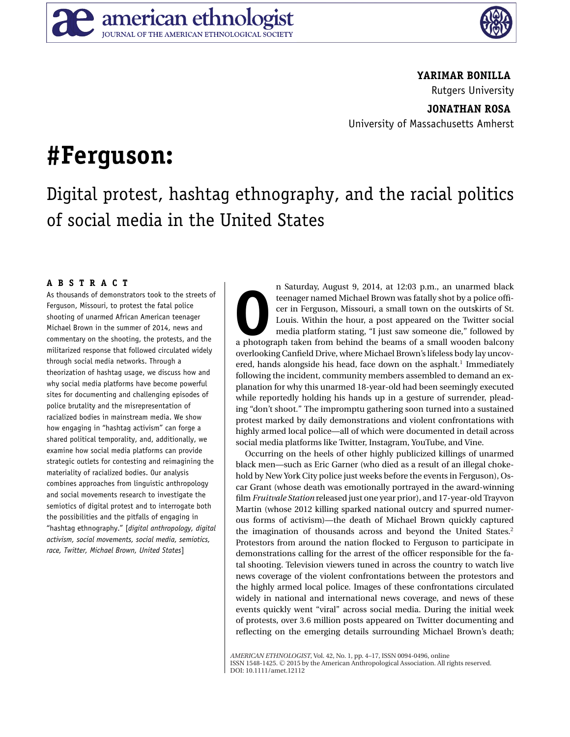



**YARIMAR BONILLA** Rutgers University

**JONATHAN ROSA** University of Massachusetts Amherst

# **#Ferguson:**

## Digital protest, hashtag ethnography, and the racial politics of social media in the United States

#### **ABSTRACT**

As thousands of demonstrators took to the streets of Ferguson, Missouri, to protest the fatal police shooting of unarmed African American teenager Michael Brown in the summer of 2014, news and commentary on the shooting, the protests, and the militarized response that followed circulated widely through social media networks. Through a theorization of hashtag usage, we discuss how and why social media platforms have become powerful sites for documenting and challenging episodes of police brutality and the misrepresentation of racialized bodies in mainstream media. We show how engaging in "hashtag activism" can forge a shared political temporality, and, additionally, we examine how social media platforms can provide strategic outlets for contesting and reimagining the materiality of racialized bodies. Our analysis combines approaches from linguistic anthropology and social movements research to investigate the semiotics of digital protest and to interrogate both the possibilities and the pitfalls of engaging in "hashtag ethnography." [*digital anthropology, digital activism, social movements, social media, semiotics, race, Twitter, Michael Brown, United States*]

In Saturday, August 9, 2014, at 12:03 p.m., an unarmed black<br>teenager named Michael Brown was fatally shot by a police offi-<br>cer in Ferguson, Missouri, a small town on the outskirts of St.<br>Louis. Within the hour, a post ap n Saturday, August 9, 2014, at 12:03 p.m., an unarmed black teenager named Michael Brown was fatally shot by a police officer in Ferguson, Missouri, a small town on the outskirts of St. Louis. Within the hour, a post appeared on the Twitter social media platform stating, "I just saw someone die," followed by overlooking Canfield Drive, where Michael Brown's lifeless body lay uncovered, hands alongside his head, face down on the asphalt.<sup>1</sup> Immediately following the incident, community members assembled to demand an explanation for why this unarmed 18-year-old had been seemingly executed while reportedly holding his hands up in a gesture of surrender, pleading "don't shoot." The impromptu gathering soon turned into a sustained protest marked by daily demonstrations and violent confrontations with highly armed local police—all of which were documented in detail across social media platforms like Twitter, Instagram, YouTube, and Vine.

Occurring on the heels of other highly publicized killings of unarmed black men—such as Eric Garner (who died as a result of an illegal chokehold by New York City police just weeks before the events in Ferguson), Oscar Grant (whose death was emotionally portrayed in the award-winning film *Fruitvale Station* released just one year prior), and 17-year-old Trayvon Martin (whose 2012 killing sparked national outcry and spurred numerous forms of activism)—the death of Michael Brown quickly captured the imagination of thousands across and beyond the United States.<sup>2</sup> Protestors from around the nation flocked to Ferguson to participate in demonstrations calling for the arrest of the officer responsible for the fatal shooting. Television viewers tuned in across the country to watch live news coverage of the violent confrontations between the protestors and the highly armed local police. Images of these confrontations circulated widely in national and international news coverage, and news of these events quickly went "viral" across social media. During the initial week of protests, over 3.6 million posts appeared on Twitter documenting and reflecting on the emerging details surrounding Michael Brown's death;

*AMERICAN ETHNOLOGIST*, Vol. 42, No. 1, pp. 4–17, ISSN 0094-0496, online

ISSN 1548-1425. © 2015 by the American Anthropological Association. All rights reserved. DOI: 10.1111/amet.12112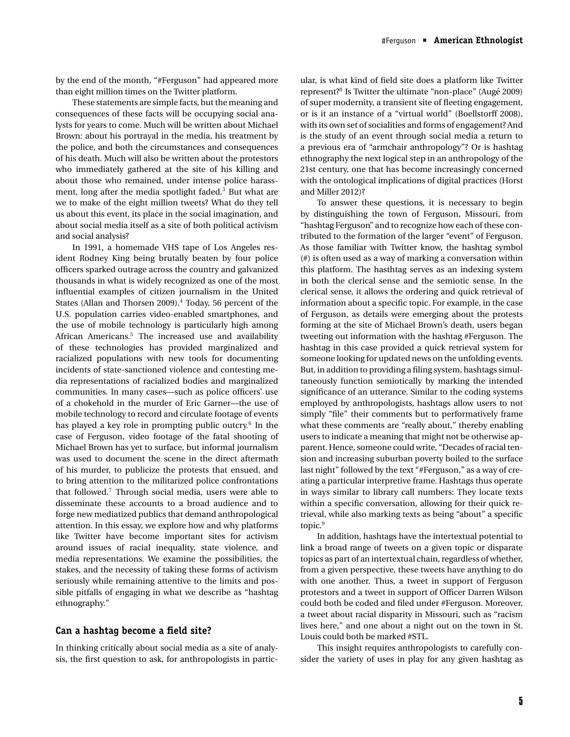by the end of the month, "#Ferguson" had appeared more than eight million times on the Twitter platform.

These statements are simple facts, but the meaning and consequences of these facts will be occupying social analysts for years to come. Much will be written about Michael Brown: about his portrayal in the media, his treatment by the police, and both the circumstances and consequences of his death. Much will also be written about the protestors who immediately gathered at the site of his killing and about those who remained, under intense police harassment, long after the media spotlight faded.<sup>3</sup> But what are we to make of the eight million tweets? What do they tell us about this event, its place in the social imagination, and about social media itself as a site of both political activism and social analysis?

In 1991, a homemade VHS tape of Los Angeles resident Rodney King being brutally beaten by four police officers sparked outrage across the country and galvanized thousands in what is widely recognized as one of the most influential examples of citizen journalism in the United States (Allan and Thorsen 2009).<sup>4</sup> Today, 56 percent of the U.S. population carries video-enabled smartphones, and the use of mobile technology is particularly high among African Americans.<sup>5</sup> The increased use and availability of these technologies has provided marginalized and racialized populations with new tools for documenting incidents of state-sanctioned violence and contesting media representations of racialized bodies and marginalized communities. In many cases—such as police officers' use of a chokehold in the murder of Eric Garner—the use of mobile technology to record and circulate footage of events has played a key role in prompting public outcry.<sup>6</sup> In the case of Ferguson, video footage of the fatal shooting of Michael Brown has yet to surface, but informal journalism was used to document the scene in the direct aftermath of his murder, to publicize the protests that ensued, and to bring attention to the militarized police confrontations that followed.7 Through social media, users were able to disseminate these accounts to a broad audience and to forge new mediatized publics that demand anthropological attention. In this essay, we explore how and why platforms like Twitter have become important sites for activism around issues of racial inequality, state violence, and media representations. We examine the possibilities, the stakes, and the necessity of taking these forms of activism seriously while remaining attentive to the limits and possible pitfalls of engaging in what we describe as "hashtag ethnography."

#### **Can a hashtag become a field site?**

In thinking critically about social media as a site of analysis, the first question to ask, for anthropologists in particular, is what kind of field site does a platform like Twitter represent?<sup>8</sup> Is Twitter the ultimate "non-place" (Augé 2009) of super modernity, a transient site of fleeting engagement, or is it an instance of a "virtual world" (Boellstorff 2008), with its own set of socialities and forms of engagement? And is the study of an event through social media a return to a previous era of "armchair anthropology"? Or is hashtag ethnography the next logical step in an anthropology of the 21st century, one that has become increasingly concerned with the ontological implications of digital practices (Horst and Miller 2012)?

To answer these questions, it is necessary to begin by distinguishing the town of Ferguson, Missouri, from "hashtag Ferguson" and to recognize how each of these contributed to the formation of the larger "event" of Ferguson. As those familiar with Twitter know, the hashtag symbol (#) is often used as a way of marking a conversation within this platform. The hasthtag serves as an indexing system in both the clerical sense and the semiotic sense. In the clerical sense, it allows the ordering and quick retrieval of information about a specific topic. For example, in the case of Ferguson, as details were emerging about the protests forming at the site of Michael Brown's death, users began tweeting out information with the hashtag #Ferguson. The hashtag in this case provided a quick retrieval system for someone looking for updated news on the unfolding events. But, in addition to providing a filing system, hashtags simultaneously function semiotically by marking the intended significance of an utterance. Similar to the coding systems employed by anthropologists, hashtags allow users to not simply "file" their comments but to performatively frame what these comments are "really about," thereby enabling users to indicate a meaning that might not be otherwise apparent. Hence, someone could write, "Decades of racial tension and increasing suburban poverty boiled to the surface last night" followed by the text "#Ferguson," as a way of creating a particular interpretive frame. Hashtags thus operate in ways similar to library call numbers: They locate texts within a specific conversation, allowing for their quick retrieval, while also marking texts as being "about" a specific topic.<sup>9</sup>

In addition, hashtags have the intertextual potential to link a broad range of tweets on a given topic or disparate topics as part of an intertextual chain, regardless of whether, from a given perspective, these tweets have anything to do with one another. Thus, a tweet in support of Ferguson protestors and a tweet in support of Officer Darren Wilson could both be coded and filed under #Ferguson. Moreover, a tweet about racial disparity in Missouri, such as "racism lives here," and one about a night out on the town in St. Louis could both be marked #STL.

This insight requires anthropologists to carefully consider the variety of uses in play for any given hashtag as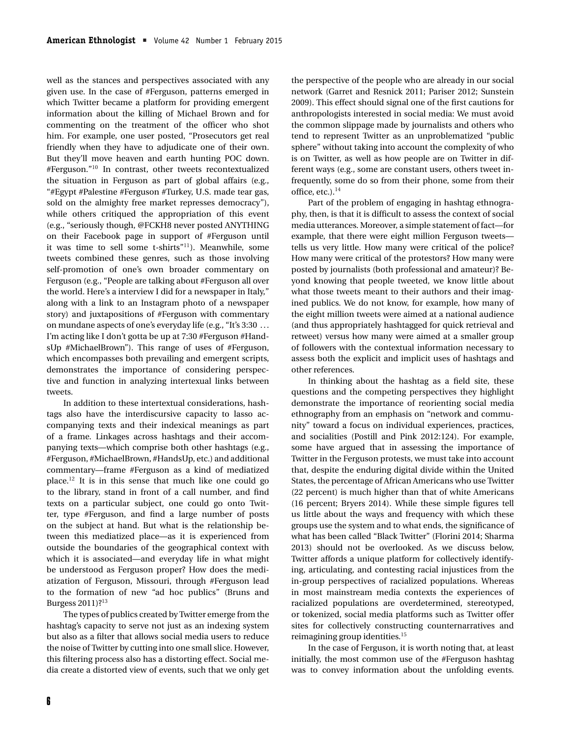well as the stances and perspectives associated with any given use. In the case of #Ferguson, patterns emerged in which Twitter became a platform for providing emergent information about the killing of Michael Brown and for commenting on the treatment of the officer who shot him. For example, one user posted, "Prosecutors get real friendly when they have to adjudicate one of their own. But they'll move heaven and earth hunting POC down. #Ferguson."10 In contrast, other tweets recontextualized the situation in Ferguson as part of global affairs (e.g., "#Egypt #Palestine #Ferguson #Turkey, U.S. made tear gas, sold on the almighty free market represses democracy"), while others critiqued the appropriation of this event (e.g., "seriously though, @FCKH8 never posted ANYTHING on their Facebook page in support of #Ferguson until it was time to sell some t-shirts"<sup>11</sup>). Meanwhile, some tweets combined these genres, such as those involving self-promotion of one's own broader commentary on Ferguson (e.g., "People are talking about #Ferguson all over the world. Here's a interview I did for a newspaper in Italy," along with a link to an Instagram photo of a newspaper story) and juxtapositions of #Ferguson with commentary on mundane aspects of one's everyday life (e.g., "It's 3:30 . . . I'm acting like I don't gotta be up at 7:30 #Ferguson #HandsUp #MichaelBrown"). This range of uses of #Ferguson, which encompasses both prevailing and emergent scripts, demonstrates the importance of considering perspective and function in analyzing intertexual links between tweets.

In addition to these intertextual considerations, hashtags also have the interdiscursive capacity to lasso accompanying texts and their indexical meanings as part of a frame. Linkages across hashtags and their accompanying texts—which comprise both other hashtags (e.g., #Ferguson, #MichaelBrown, #HandsUp, etc.) and additional commentary—frame #Ferguson as a kind of mediatized place.12 It is in this sense that much like one could go to the library, stand in front of a call number, and find texts on a particular subject, one could go onto Twitter, type #Ferguson, and find a large number of posts on the subject at hand. But what is the relationship between this mediatized place—as it is experienced from outside the boundaries of the geographical context with which it is associated—and everyday life in what might be understood as Ferguson proper? How does the mediatization of Ferguson, Missouri, through #Ferguson lead to the formation of new "ad hoc publics" (Bruns and Burgess 2011)?<sup>13</sup>

The types of publics created by Twitter emerge from the hashtag's capacity to serve not just as an indexing system but also as a filter that allows social media users to reduce the noise of Twitter by cutting into one small slice. However, this filtering process also has a distorting effect. Social media create a distorted view of events, such that we only get the perspective of the people who are already in our social network (Garret and Resnick 2011; Pariser 2012; Sunstein 2009). This effect should signal one of the first cautions for anthropologists interested in social media: We must avoid the common slippage made by journalists and others who tend to represent Twitter as an unproblematized "public sphere" without taking into account the complexity of who is on Twitter, as well as how people are on Twitter in different ways (e.g., some are constant users, others tweet infrequently, some do so from their phone, some from their office, etc.). $^{14}$ 

Part of the problem of engaging in hashtag ethnography, then, is that it is difficult to assess the context of social media utterances. Moreover, a simple statement of fact—for example, that there were eight million Ferguson tweets tells us very little. How many were critical of the police? How many were critical of the protestors? How many were posted by journalists (both professional and amateur)? Beyond knowing that people tweeted, we know little about what those tweets meant to their authors and their imagined publics. We do not know, for example, how many of the eight million tweets were aimed at a national audience (and thus appropriately hashtagged for quick retrieval and retweet) versus how many were aimed at a smaller group of followers with the contextual information necessary to assess both the explicit and implicit uses of hashtags and other references.

In thinking about the hashtag as a field site, these questions and the competing perspectives they highlight demonstrate the importance of reorienting social media ethnography from an emphasis on "network and community" toward a focus on individual experiences, practices, and socialities (Postill and Pink 2012:124). For example, some have argued that in assessing the importance of Twitter in the Ferguson protests, we must take into account that, despite the enduring digital divide within the United States, the percentage of African Americans who use Twitter (22 percent) is much higher than that of white Americans (16 percent; Bryers 2014). While these simple figures tell us little about the ways and frequency with which these groups use the system and to what ends, the significance of what has been called "Black Twitter" (Florini 2014; Sharma 2013) should not be overlooked. As we discuss below, Twitter affords a unique platform for collectively identifying, articulating, and contesting racial injustices from the in-group perspectives of racialized populations. Whereas in most mainstream media contexts the experiences of racialized populations are overdetermined, stereotyped, or tokenized, social media platforms such as Twitter offer sites for collectively constructing counternarratives and reimagining group identities.15

In the case of Ferguson, it is worth noting that, at least initially, the most common use of the #Ferguson hashtag was to convey information about the unfolding events.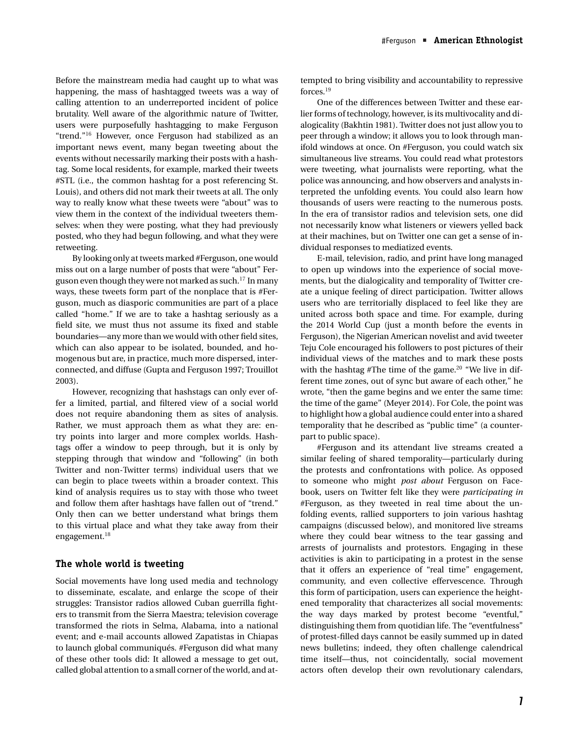Before the mainstream media had caught up to what was happening, the mass of hashtagged tweets was a way of calling attention to an underreported incident of police brutality. Well aware of the algorithmic nature of Twitter, users were purposefully hashtagging to make Ferguson "trend."16 However, once Ferguson had stabilized as an important news event, many began tweeting about the events without necessarily marking their posts with a hashtag. Some local residents, for example, marked their tweets #STL (i.e., the common hashtag for a post referencing St. Louis), and others did not mark their tweets at all. The only way to really know what these tweets were "about" was to view them in the context of the individual tweeters themselves: when they were posting, what they had previously posted, who they had begun following, and what they were retweeting.

By looking only at tweets marked #Ferguson, one would miss out on a large number of posts that were "about" Ferguson even though they were not marked as such.<sup>17</sup> In many ways, these tweets form part of the nonplace that is #Ferguson, much as diasporic communities are part of a place called "home." If we are to take a hashtag seriously as a field site, we must thus not assume its fixed and stable boundaries—any more than we would with other field sites, which can also appear to be isolated, bounded, and homogenous but are, in practice, much more dispersed, interconnected, and diffuse (Gupta and Ferguson 1997; Trouillot 2003).

However, recognizing that hashstags can only ever offer a limited, partial, and filtered view of a social world does not require abandoning them as sites of analysis. Rather, we must approach them as what they are: entry points into larger and more complex worlds. Hashtags offer a window to peep through, but it is only by stepping through that window and "following" (in both Twitter and non-Twitter terms) individual users that we can begin to place tweets within a broader context. This kind of analysis requires us to stay with those who tweet and follow them after hashtags have fallen out of "trend." Only then can we better understand what brings them to this virtual place and what they take away from their engagement.<sup>18</sup>

#### **The whole world is tweeting**

Social movements have long used media and technology to disseminate, escalate, and enlarge the scope of their struggles: Transistor radios allowed Cuban guerrilla fighters to transmit from the Sierra Maestra; television coverage transformed the riots in Selma, Alabama, into a national event; and e-mail accounts allowed Zapatistas in Chiapas to launch global communiqués. #Ferguson did what many of these other tools did: It allowed a message to get out, called global attention to a small corner of the world, and attempted to bring visibility and accountability to repressive forces.19

One of the differences between Twitter and these earlier forms of technology, however, is its multivocality and dialogicality (Bakhtin 1981). Twitter does not just allow you to peer through a window; it allows you to look through manifold windows at once. On #Ferguson, you could watch six simultaneous live streams. You could read what protestors were tweeting, what journalists were reporting, what the police was announcing, and how observers and analysts interpreted the unfolding events. You could also learn how thousands of users were reacting to the numerous posts. In the era of transistor radios and television sets, one did not necessarily know what listeners or viewers yelled back at their machines, but on Twitter one can get a sense of individual responses to mediatized events.

E-mail, television, radio, and print have long managed to open up windows into the experience of social movements, but the dialogicality and temporality of Twitter create a unique feeling of direct participation. Twitter allows users who are territorially displaced to feel like they are united across both space and time. For example, during the 2014 World Cup (just a month before the events in Ferguson), the Nigerian American novelist and avid tweeter Teju Cole encouraged his followers to post pictures of their individual views of the matches and to mark these posts with the hashtag  $#The time of the game.<sup>20</sup>$  "We live in different time zones, out of sync but aware of each other," he wrote, "then the game begins and we enter the same time: the time of the game" (Meyer 2014). For Cole, the point was to highlight how a global audience could enter into a shared temporality that he described as "public time" (a counterpart to public space).

#Ferguson and its attendant live streams created a similar feeling of shared temporality—particularly during the protests and confrontations with police. As opposed to someone who might *post about* Ferguson on Facebook, users on Twitter felt like they were *participating in* #Ferguson, as they tweeted in real time about the unfolding events, rallied supporters to join various hashtag campaigns (discussed below), and monitored live streams where they could bear witness to the tear gassing and arrests of journalists and protestors. Engaging in these activities is akin to participating in a protest in the sense that it offers an experience of "real time" engagement, community, and even collective effervescence. Through this form of participation, users can experience the heightened temporality that characterizes all social movements: the way days marked by protest become "eventful," distinguishing them from quotidian life. The "eventfulness" of protest-filled days cannot be easily summed up in dated news bulletins; indeed, they often challenge calendrical time itself—thus, not coincidentally, social movement actors often develop their own revolutionary calendars,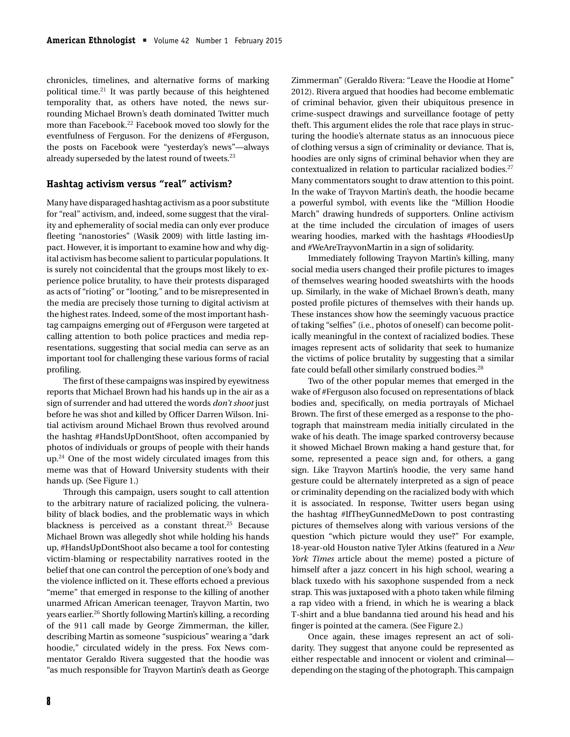chronicles, timelines, and alternative forms of marking political time.21 It was partly because of this heightened temporality that, as others have noted, the news surrounding Michael Brown's death dominated Twitter much more than Facebook.22 Facebook moved too slowly for the eventfulness of Ferguson. For the denizens of #Ferguson, the posts on Facebook were "yesterday's news"—always already superseded by the latest round of tweets.<sup>23</sup>

#### **Hashtag activism versus "real" activism?**

Many have disparaged hashtag activism as a poor substitute for "real" activism, and, indeed, some suggest that the virality and ephemerality of social media can only ever produce fleeting "nanostories" (Wasik 2009) with little lasting impact. However, it is important to examine how and why digital activism has become salient to particular populations. It is surely not coincidental that the groups most likely to experience police brutality, to have their protests disparaged as acts of "rioting" or "looting," and to be misrepresented in the media are precisely those turning to digital activism at the highest rates. Indeed, some of the most important hashtag campaigns emerging out of #Ferguson were targeted at calling attention to both police practices and media representations, suggesting that social media can serve as an important tool for challenging these various forms of racial profiling.

The first of these campaigns was inspired by eyewitness reports that Michael Brown had his hands up in the air as a sign of surrender and had uttered the words *don't shoot* just before he was shot and killed by Officer Darren Wilson. Initial activism around Michael Brown thus revolved around the hashtag #HandsUpDontShoot, often accompanied by photos of individuals or groups of people with their hands up.<sup>24</sup> One of the most widely circulated images from this meme was that of Howard University students with their hands up. (See Figure 1.)

Through this campaign, users sought to call attention to the arbitrary nature of racialized policing, the vulnerability of black bodies, and the problematic ways in which blackness is perceived as a constant threat.<sup>25</sup> Because Michael Brown was allegedly shot while holding his hands up, #HandsUpDontShoot also became a tool for contesting victim-blaming or respectability narratives rooted in the belief that one can control the perception of one's body and the violence inflicted on it. These efforts echoed a previous "meme" that emerged in response to the killing of another unarmed African American teenager, Trayvon Martin, two years earlier.26 Shortly following Martin's killing, a recording of the 911 call made by George Zimmerman, the killer, describing Martin as someone "suspicious" wearing a "dark hoodie," circulated widely in the press. Fox News commentator Geraldo Rivera suggested that the hoodie was "as much responsible for Trayvon Martin's death as George

Zimmerman" (Geraldo Rivera: "Leave the Hoodie at Home" 2012). Rivera argued that hoodies had become emblematic of criminal behavior, given their ubiquitous presence in crime-suspect drawings and surveillance footage of petty theft. This argument elides the role that race plays in structuring the hoodie's alternate status as an innocuous piece of clothing versus a sign of criminality or deviance. That is, hoodies are only signs of criminal behavior when they are contextualized in relation to particular racialized bodies.<sup>27</sup> Many commentators sought to draw attention to this point. In the wake of Trayvon Martin's death, the hoodie became a powerful symbol, with events like the "Million Hoodie March" drawing hundreds of supporters. Online activism at the time included the circulation of images of users wearing hoodies, marked with the hashtags #HoodiesUp and #WeAreTrayvonMartin in a sign of solidarity.

Immediately following Trayvon Martin's killing, many social media users changed their profile pictures to images of themselves wearing hooded sweatshirts with the hoods up. Similarly, in the wake of Michael Brown's death, many posted profile pictures of themselves with their hands up. These instances show how the seemingly vacuous practice of taking "selfies" (i.e., photos of oneself) can become politically meaningful in the context of racialized bodies. These images represent acts of solidarity that seek to humanize the victims of police brutality by suggesting that a similar fate could befall other similarly construed bodies.<sup>28</sup>

Two of the other popular memes that emerged in the wake of #Ferguson also focused on representations of black bodies and, specifically, on media portrayals of Michael Brown. The first of these emerged as a response to the photograph that mainstream media initially circulated in the wake of his death. The image sparked controversy because it showed Michael Brown making a hand gesture that, for some, represented a peace sign and, for others, a gang sign. Like Trayvon Martin's hoodie, the very same hand gesture could be alternately interpreted as a sign of peace or criminality depending on the racialized body with which it is associated. In response, Twitter users began using the hashtag #IfTheyGunnedMeDown to post contrasting pictures of themselves along with various versions of the question "which picture would they use?" For example, 18-year-old Houston native Tyler Atkins (featured in a *New York Times* article about the meme) posted a picture of himself after a jazz concert in his high school, wearing a black tuxedo with his saxophone suspended from a neck strap. This was juxtaposed with a photo taken while filming a rap video with a friend, in which he is wearing a black T-shirt and a blue bandanna tied around his head and his finger is pointed at the camera. (See Figure 2.)

Once again, these images represent an act of solidarity. They suggest that anyone could be represented as either respectable and innocent or violent and criminal depending on the staging of the photograph. This campaign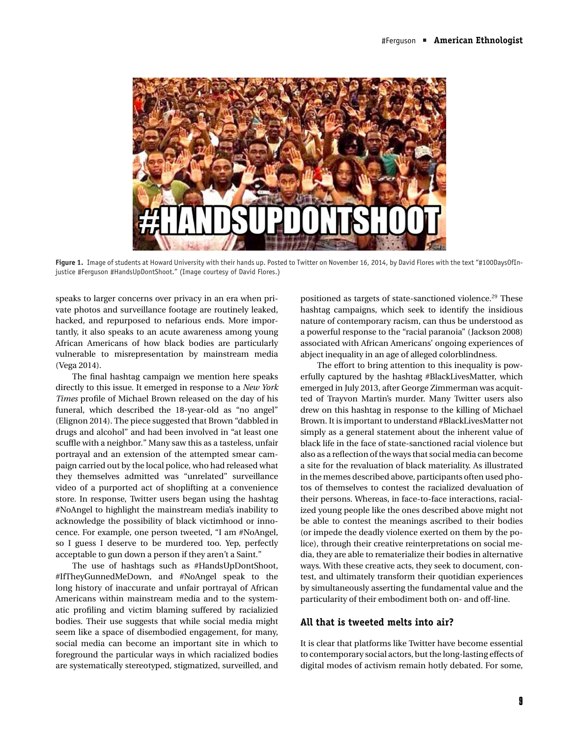

**Figure 1.** Image of students at Howard University with their hands up. Posted to Twitter on November 16, 2014, by David Flores with the text "#100DaysOfInjustice #Ferguson #HandsUpDontShoot." (Image courtesy of David Flores.)

speaks to larger concerns over privacy in an era when private photos and surveillance footage are routinely leaked, hacked, and repurposed to nefarious ends. More importantly, it also speaks to an acute awareness among young African Americans of how black bodies are particularly vulnerable to misrepresentation by mainstream media (Vega 2014).

The final hashtag campaign we mention here speaks directly to this issue. It emerged in response to a *New York Times* profile of Michael Brown released on the day of his funeral, which described the 18-year-old as "no angel" (Elignon 2014). The piece suggested that Brown "dabbled in drugs and alcohol" and had been involved in "at least one scuffle with a neighbor." Many saw this as a tasteless, unfair portrayal and an extension of the attempted smear campaign carried out by the local police, who had released what they themselves admitted was "unrelated" surveillance video of a purported act of shoplifting at a convenience store. In response, Twitter users began using the hashtag #NoAngel to highlight the mainstream media's inability to acknowledge the possibility of black victimhood or innocence. For example, one person tweeted, "I am #NoAngel, so I guess I deserve to be murdered too. Yep, perfectly acceptable to gun down a person if they aren't a Saint."

The use of hashtags such as #HandsUpDontShoot, #IfTheyGunnedMeDown, and #NoAngel speak to the long history of inaccurate and unfair portrayal of African Americans within mainstream media and to the systematic profiling and victim blaming suffered by racializied bodies. Their use suggests that while social media might seem like a space of disembodied engagement, for many, social media can become an important site in which to foreground the particular ways in which racialized bodies are systematically stereotyped, stigmatized, surveilled, and positioned as targets of state-sanctioned violence.<sup>29</sup> These hashtag campaigns, which seek to identify the insidious nature of contemporary racism, can thus be understood as a powerful response to the "racial paranoia" (Jackson 2008) associated with African Americans' ongoing experiences of abject inequality in an age of alleged colorblindness.

The effort to bring attention to this inequality is powerfully captured by the hashtag #BlackLivesMatter, which emerged in July 2013, after George Zimmerman was acquitted of Trayvon Martin's murder. Many Twitter users also drew on this hashtag in response to the killing of Michael Brown. It is important to understand #BlackLivesMatter not simply as a general statement about the inherent value of black life in the face of state-sanctioned racial violence but also as a reflection of the ways that social media can become a site for the revaluation of black materiality. As illustrated in the memes described above, participants often used photos of themselves to contest the racialized devaluation of their persons. Whereas, in face-to-face interactions, racialized young people like the ones described above might not be able to contest the meanings ascribed to their bodies (or impede the deadly violence exerted on them by the police), through their creative reinterpretations on social media, they are able to rematerialize their bodies in alternative ways. With these creative acts, they seek to document, contest, and ultimately transform their quotidian experiences by simultaneously asserting the fundamental value and the particularity of their embodiment both on- and off-line.

#### **All that is tweeted melts into air?**

It is clear that platforms like Twitter have become essential to contemporary social actors, but the long-lasting effects of digital modes of activism remain hotly debated. For some,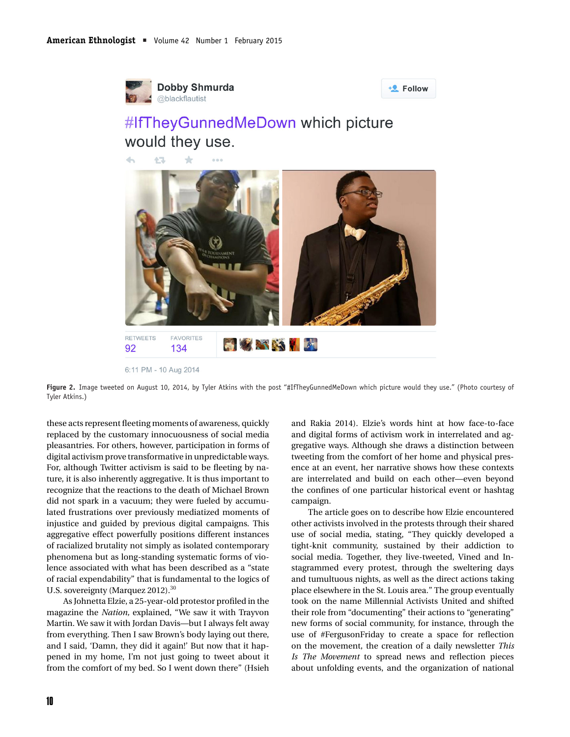



### #IfTheyGunnedMeDown which picture would they use.



**Figure 2.** Image tweeted on August 10, 2014, by Tyler Atkins with the post "#IfTheyGunnedMeDown which picture would they use." (Photo courtesy of Tyler Atkins.)

these acts represent fleeting moments of awareness, quickly replaced by the customary innocuousness of social media pleasantries. For others, however, participation in forms of digital activism prove transformative in unpredictable ways. For, although Twitter activism is said to be fleeting by nature, it is also inherently aggregative. It is thus important to recognize that the reactions to the death of Michael Brown did not spark in a vacuum; they were fueled by accumulated frustrations over previously mediatized moments of injustice and guided by previous digital campaigns. This aggregative effect powerfully positions different instances of racialized brutality not simply as isolated contemporary phenomena but as long-standing systematic forms of violence associated with what has been described as a "state of racial expendability" that is fundamental to the logics of U.S. sovereignty (Marquez 2012).<sup>30</sup>

As Johnetta Elzie, a 25-year-old protestor profiled in the magazine the *Nation,* explained, "We saw it with Trayvon Martin. We saw it with Jordan Davis—but I always felt away from everything. Then I saw Brown's body laying out there, and I said, 'Damn, they did it again!' But now that it happened in my home, I'm not just going to tweet about it from the comfort of my bed. So I went down there" (Hsieh

and Rakia 2014). Elzie's words hint at how face-to-face and digital forms of activism work in interrelated and aggregative ways. Although she draws a distinction between tweeting from the comfort of her home and physical presence at an event, her narrative shows how these contexts are interrelated and build on each other—even beyond the confines of one particular historical event or hashtag campaign.

The article goes on to describe how Elzie encountered other activists involved in the protests through their shared use of social media, stating, "They quickly developed a tight-knit community, sustained by their addiction to social media. Together, they live-tweeted, Vined and Instagrammed every protest, through the sweltering days and tumultuous nights, as well as the direct actions taking place elsewhere in the St. Louis area." The group eventually took on the name Millennial Activists United and shifted their role from "documenting" their actions to "generating" new forms of social community, for instance, through the use of #FergusonFriday to create a space for reflection on the movement, the creation of a daily newsletter *This Is The Movement* to spread news and reflection pieces about unfolding events, and the organization of national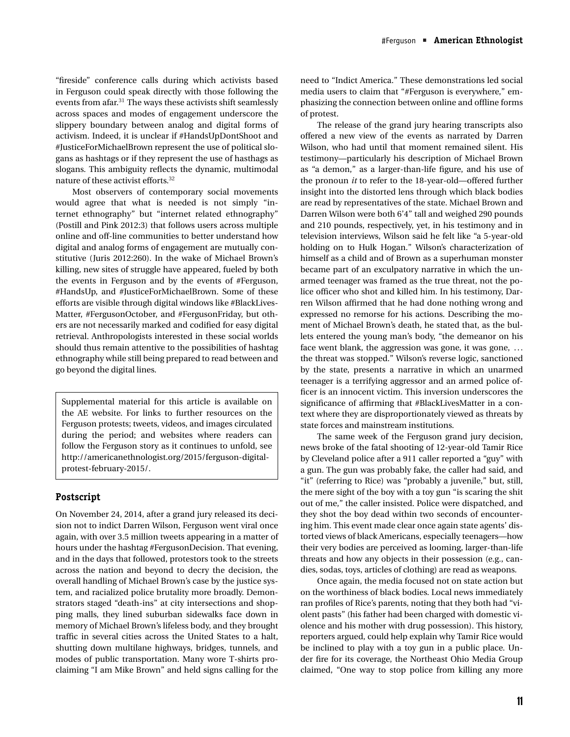"fireside" conference calls during which activists based in Ferguson could speak directly with those following the events from afar.<sup>31</sup> The ways these activists shift seamlessly across spaces and modes of engagement underscore the slippery boundary between analog and digital forms of activism. Indeed, it is unclear if #HandsUpDontShoot and #JusticeForMichaelBrown represent the use of political slogans as hashtags or if they represent the use of hasthags as slogans. This ambiguity reflects the dynamic, multimodal nature of these activist efforts.32

Most observers of contemporary social movements would agree that what is needed is not simply "internet ethnography" but "internet related ethnography" (Postill and Pink 2012:3) that follows users across multiple online and off-line communities to better understand how digital and analog forms of engagement are mutually constitutive (Juris 2012:260). In the wake of Michael Brown's killing, new sites of struggle have appeared, fueled by both the events in Ferguson and by the events of #Ferguson, #HandsUp, and #JusticeForMichaelBrown. Some of these efforts are visible through digital windows like #BlackLives-Matter, #FergusonOctober, and #FergusonFriday, but others are not necessarily marked and codified for easy digital retrieval. Anthropologists interested in these social worlds should thus remain attentive to the possibilities of hashtag ethnography while still being prepared to read between and go beyond the digital lines.

Supplemental material for this article is available on the AE website. For links to further resources on the Ferguson protests; tweets, videos, and images circulated during the period; and websites where readers can follow the Ferguson story as it continues to unfold, see http://americanethnologist.org/2015/ferguson-digitalprotest-february-2015/.

#### **Postscript**

On November 24, 2014, after a grand jury released its decision not to indict Darren Wilson, Ferguson went viral once again, with over 3.5 million tweets appearing in a matter of hours under the hashtag #FergusonDecision. That evening, and in the days that followed, protestors took to the streets across the nation and beyond to decry the decision, the overall handling of Michael Brown's case by the justice system, and racialized police brutality more broadly. Demonstrators staged "death-ins" at city intersections and shopping malls, they lined suburban sidewalks face down in memory of Michael Brown's lifeless body, and they brought traffic in several cities across the United States to a halt, shutting down multilane highways, bridges, tunnels, and modes of public transportation. Many wore T-shirts proclaiming "I am Mike Brown" and held signs calling for the need to "Indict America." These demonstrations led social media users to claim that "#Ferguson is everywhere," emphasizing the connection between online and offline forms of protest.

The release of the grand jury hearing transcripts also offered a new view of the events as narrated by Darren Wilson, who had until that moment remained silent. His testimony—particularly his description of Michael Brown as "a demon," as a larger-than-life figure, and his use of the pronoun *it* to refer to the 18-year-old—offered further insight into the distorted lens through which black bodies are read by representatives of the state. Michael Brown and Darren Wilson were both 6'4" tall and weighed 290 pounds and 210 pounds, respectively, yet, in his testimony and in television interviews, Wilson said he felt like "a 5-year-old holding on to Hulk Hogan." Wilson's characterization of himself as a child and of Brown as a superhuman monster became part of an exculpatory narrative in which the unarmed teenager was framed as the true threat, not the police officer who shot and killed him. In his testimony, Darren Wilson affirmed that he had done nothing wrong and expressed no remorse for his actions. Describing the moment of Michael Brown's death, he stated that, as the bullets entered the young man's body, "the demeanor on his face went blank, the aggression was gone, it was gone, ... the threat was stopped." Wilson's reverse logic, sanctioned by the state, presents a narrative in which an unarmed teenager is a terrifying aggressor and an armed police officer is an innocent victim. This inversion underscores the significance of affirming that #BlackLivesMatter in a context where they are disproportionately viewed as threats by state forces and mainstream institutions.

The same week of the Ferguson grand jury decision, news broke of the fatal shooting of 12-year-old Tamir Rice by Cleveland police after a 911 caller reported a "guy" with a gun. The gun was probably fake, the caller had said, and "it" (referring to Rice) was "probably a juvenile," but, still, the mere sight of the boy with a toy gun "is scaring the shit out of me," the caller insisted. Police were dispatched, and they shot the boy dead within two seconds of encountering him. This event made clear once again state agents' distorted views of black Americans, especially teenagers—how their very bodies are perceived as looming, larger-than-life threats and how any objects in their possession (e.g., candies, sodas, toys, articles of clothing) are read as weapons.

Once again, the media focused not on state action but on the worthiness of black bodies. Local news immediately ran profiles of Rice's parents, noting that they both had "violent pasts" (his father had been charged with domestic violence and his mother with drug possession). This history, reporters argued, could help explain why Tamir Rice would be inclined to play with a toy gun in a public place. Under fire for its coverage, the Northeast Ohio Media Group claimed, "One way to stop police from killing any more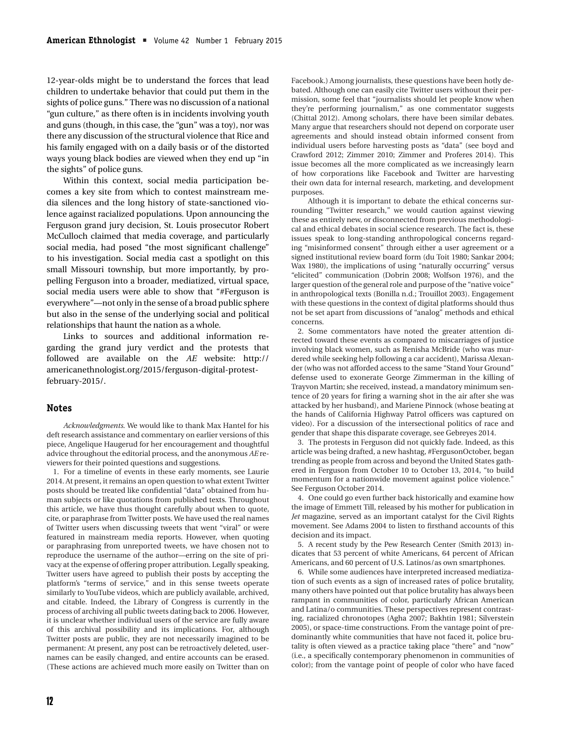12-year-olds might be to understand the forces that lead children to undertake behavior that could put them in the sights of police guns." There was no discussion of a national "gun culture," as there often is in incidents involving youth and guns (though, in this case, the "gun" was a toy), nor was there any discussion of the structural violence that Rice and his family engaged with on a daily basis or of the distorted ways young black bodies are viewed when they end up "in the sights" of police guns.

Within this context, social media participation becomes a key site from which to contest mainstream media silences and the long history of state-sanctioned violence against racialized populations. Upon announcing the Ferguson grand jury decision, St. Louis prosecutor Robert McCulloch claimed that media coverage, and particularly social media, had posed "the most significant challenge" to his investigation. Social media cast a spotlight on this small Missouri township, but more importantly, by propelling Ferguson into a broader, mediatized, virtual space, social media users were able to show that "#Ferguson is everywhere"—not only in the sense of a broad public sphere but also in the sense of the underlying social and political relationships that haunt the nation as a whole.

Links to sources and additional information regarding the grand jury verdict and the protests that followed are available on the *AE* website: http:// americanethnologist.org/2015/ferguson-digital-protestfebruary-2015/.

#### **Notes**

*Acknowledgments*. We would like to thank Max Hantel for his deft research assistance and commentary on earlier versions of this piece, Angelique Haugerud for her encouragement and thoughtful advice throughout the editorial process, and the anonymous *AE* reviewers for their pointed questions and suggestions.

1. For a timeline of events in these early moments, see Laurie 2014. At present, it remains an open question to what extent Twitter posts should be treated like confidential "data" obtained from human subjects or like quotations from published texts. Throughout this article, we have thus thought carefully about when to quote, cite, or paraphrase from Twitter posts. We have used the real names of Twitter users when discussing tweets that went "viral" or were featured in mainstream media reports. However, when quoting or paraphrasing from unreported tweets, we have chosen not to reproduce the username of the author—erring on the site of privacy at the expense of offering proper attribution. Legally speaking, Twitter users have agreed to publish their posts by accepting the platform's "terms of service," and in this sense tweets operate similarly to YouTube videos, which are publicly available, archived, and citable. Indeed, the Library of Congress is currently in the process of archiving all public tweets dating back to 2006. However, it is unclear whether individual users of the service are fully aware of this archival possibility and its implications. For, although Twitter posts are public, they are not necessarily imagined to be permanent: At present, any post can be retroactively deleted, usernames can be easily changed, and entire accounts can be erased. (These actions are achieved much more easily on Twitter than on

Facebook.) Among journalists, these questions have been hotly debated. Although one can easily cite Twitter users without their permission, some feel that "journalists should let people know when they're performing journalism," as one commentator suggests (Chittal 2012). Among scholars, there have been similar debates. Many argue that researchers should not depend on corporate user agreements and should instead obtain informed consent from individual users before harvesting posts as "data" (see boyd and Crawford 2012; Zimmer 2010; Zimmer and Proferes 2014). This issue becomes all the more complicated as we increasingly learn of how corporations like Facebook and Twitter are harvesting their own data for internal research, marketing, and development purposes.

Although it is important to debate the ethical concerns surrounding "Twitter research," we would caution against viewing these as entirely new, or disconnected from previous methodological and ethical debates in social science research. The fact is, these issues speak to long-standing anthropological concerns regarding "misinformed consent" through either a user agreement or a signed institutional review board form (du Toit 1980; Sankar 2004; Wax 1980), the implications of using "naturally occurring" versus "elicited" communication (Dobrin 2008; Wolfson 1976), and the larger question of the general role and purpose of the "native voice" in anthropological texts (Bonilla n.d.; Trouillot 2003). Engagement with these questions in the context of digital platforms should thus not be set apart from discussions of "analog" methods and ethical concerns.

2. Some commentators have noted the greater attention directed toward these events as compared to miscarriages of justice involving black women, such as Renisha McBride (who was murdered while seeking help following a car accident), Marissa Alexander (who was not afforded access to the same "Stand Your Ground" defense used to exonerate George Zimmerman in the killing of Trayvon Martin; she received, instead, a mandatory minimum sentence of 20 years for firing a warning shot in the air after she was attacked by her husband), and Mariene Pinnock (whose beating at the hands of California Highway Patrol officers was captured on video). For a discussion of the intersectional politics of race and gender that shape this disparate coverage, see Gebreyes 2014.

3. The protests in Ferguson did not quickly fade. Indeed, as this article was being drafted, a new hashtag, #FergusonOctober, began trending as people from across and beyond the United States gathered in Ferguson from October 10 to October 13, 2014, "to build momentum for a nationwide movement against police violence." See Ferguson October 2014.

4. One could go even further back historically and examine how the image of Emmett Till, released by his mother for publication in *Jet* magazine, served as an important catalyst for the Civil Rights movement. See Adams 2004 to listen to firsthand accounts of this decision and its impact.

5. A recent study by the Pew Research Center (Smith 2013) indicates that 53 percent of white Americans, 64 percent of African Americans, and 60 percent of U.S. Latinos/as own smartphones.

6. While some audiences have interpreted increased mediatization of such events as a sign of increased rates of police brutality, many others have pointed out that police brutality has always been rampant in communities of color, particularly African American and Latina/o communities. These perspectives represent contrasting, racialized chronotopes (Agha 2007; Bakhtin 1981; Silverstein 2005), or space-time constructions. From the vantage point of predominantly white communities that have not faced it, police brutality is often viewed as a practice taking place "there" and "now" (i.e., a specifically contemporary phenomenon in communities of color); from the vantage point of people of color who have faced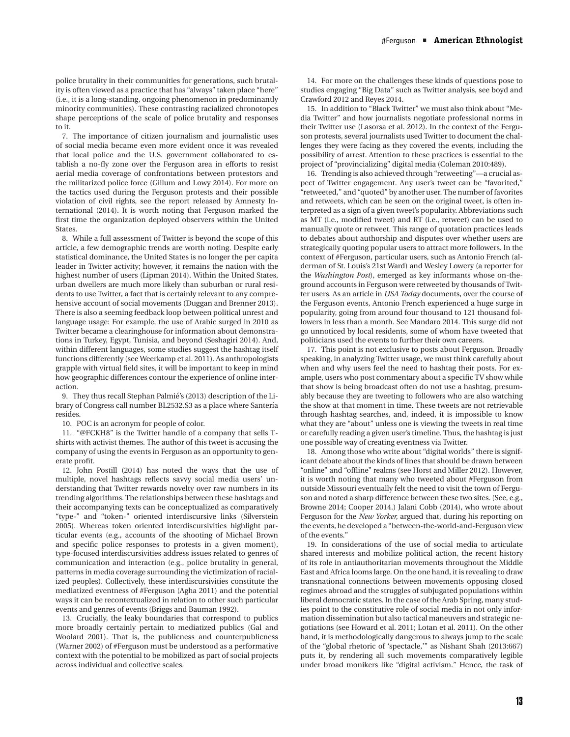police brutality in their communities for generations, such brutality is often viewed as a practice that has "always" taken place "here" (i.e., it is a long-standing, ongoing phenomenon in predominantly minority communities). These contrasting racialized chronotopes shape perceptions of the scale of police brutality and responses to it.

7. The importance of citizen journalism and journalistic uses of social media became even more evident once it was revealed that local police and the U.S. government collaborated to establish a no-fly zone over the Ferguson area in efforts to resist aerial media coverage of confrontations between protestors and the militarized police force (Gillum and Lowy 2014). For more on the tactics used during the Ferguson protests and their possible violation of civil rights, see the report released by Amnesty International (2014). It is worth noting that Ferguson marked the first time the organization deployed observers within the United **States**.

8. While a full assessment of Twitter is beyond the scope of this article, a few demographic trends are worth noting. Despite early statistical dominance, the United States is no longer the per capita leader in Twitter activity; however, it remains the nation with the highest number of users (Lipman 2014). Within the United States, urban dwellers are much more likely than suburban or rural residents to use Twitter, a fact that is certainly relevant to any comprehensive account of social movements (Duggan and Brenner 2013). There is also a seeming feedback loop between political unrest and language usage: For example, the use of Arabic surged in 2010 as Twitter became a clearinghouse for information about demonstrations in Turkey, Egypt, Tunisia, and beyond (Seshagiri 2014). And, within different languages, some studies suggest the hashtag itself functions differently (see Weerkamp et al. 2011). As anthropologists grapple with virtual field sites, it will be important to keep in mind how geographic differences contour the experience of online interaction.

9. They thus recall Stephan Palmie's (2013) description of the Li- ´ brary of Congress call number BL2532.S3 as a place where Santería resides.

10. POC is an acronym for people of color.

11. "@FCKH8" is the Twitter handle of a company that sells Tshirts with activist themes. The author of this tweet is accusing the company of using the events in Ferguson as an opportunity to generate profit.

12. John Postill (2014) has noted the ways that the use of multiple, novel hashtags reflects savvy social media users' understanding that Twitter rewards novelty over raw numbers in its trending algorithms. The relationships between these hashtags and their accompanying texts can be conceptualized as comparatively "type-" and "token-" oriented interdiscursive links (Silverstein 2005). Whereas token oriented interdiscursivities highlight particular events (e.g., accounts of the shooting of Michael Brown and specific police responses to protests in a given moment), type-focused interdiscursivities address issues related to genres of communication and interaction (e.g., police brutality in general, patterns in media coverage surrounding the victimization of racialized peoples). Collectively, these interdiscursivities constitute the mediatized eventness of #Ferguson (Agha 2011) and the potential ways it can be recontextualized in relation to other such particular events and genres of events (Briggs and Bauman 1992).

13. Crucially, the leaky boundaries that correspond to publics more broadly certainly pertain to mediatized publics (Gal and Woolard 2001). That is, the publicness and counterpublicness (Warner 2002) of #Ferguson must be understood as a performative context with the potential to be mobilized as part of social projects across individual and collective scales.

14. For more on the challenges these kinds of questions pose to studies engaging "Big Data" such as Twitter analysis, see boyd and Crawford 2012 and Reyes 2014.

15. In addition to "Black Twitter" we must also think about "Media Twitter" and how journalists negotiate professional norms in their Twitter use (Lasorsa et al. 2012). In the context of the Ferguson protests, several journalists used Twitter to document the challenges they were facing as they covered the events, including the possibility of arrest. Attention to these practices is essential to the project of "provincializing" digital media (Coleman 2010:489).

16. Trending is also achieved through "retweeting"—a crucial aspect of Twitter engagement. Any user's tweet can be "favorited," "retweeted," and "quoted" by another user. The number of favorites and retweets, which can be seen on the original tweet, is often interpreted as a sign of a given tweet's popularity. Abbreviations such as MT (i.e., modified tweet) and RT (i.e., retweet) can be used to manually quote or retweet. This range of quotation practices leads to debates about authorship and disputes over whether users are strategically quoting popular users to attract more followers. In the context of #Ferguson, particular users, such as Antonio French (alderman of St. Louis's 21st Ward) and Wesley Lowery (a reporter for the *Washington Post*), emerged as key informants whose on-theground accounts in Ferguson were retweeted by thousands of Twitter users. As an article in *USA Today* documents, over the course of the Ferguson events, Antonio French experienced a huge surge in popularity, going from around four thousand to 121 thousand followers in less than a month. See Mandaro 2014. This surge did not go unnoticed by local residents, some of whom have tweeted that politicians used the events to further their own careers.

17. This point is not exclusive to posts about Ferguson. Broadly speaking, in analyzing Twitter usage, we must think carefully about when and why users feel the need to hashtag their posts. For example, users who post commentary about a specific TV show while that show is being broadcast often do not use a hashtag, presumably because they are tweeting to followers who are also watching the show at that moment in time. These tweets are not retrievable through hashtag searches, and, indeed, it is impossible to know what they are "about" unless one is viewing the tweets in real time or carefully reading a given user's timeline. Thus, the hashtag is just one possible way of creating eventness via Twitter.

18. Among those who write about "digital worlds" there is significant debate about the kinds of lines that should be drawn between "online" and "offline" realms (see Horst and Miller 2012). However, it is worth noting that many who tweeted about #Ferguson from outside Missouri eventually felt the need to visit the town of Ferguson and noted a sharp difference between these two sites. (See, e.g., Browne 2014; Cooper 2014.) Jalani Cobb (2014), who wrote about Ferguson for the *New Yorker,* argued that, during his reporting on the events, he developed a "between-the-world-and-Ferguson view of the events."

19. In considerations of the use of social media to articulate shared interests and mobilize political action, the recent history of its role in antiauthoritarian movements throughout the Middle East and Africa looms large. On the one hand, it is revealing to draw transnational connections between movements opposing closed regimes abroad and the struggles of subjugated populations within liberal democratic states. In the case of the Arab Spring, many studies point to the constitutive role of social media in not only information dissemination but also tactical maneuvers and strategic negotiations (see Howard et al. 2011; Lotan et al. 2011). On the other hand, it is methodologically dangerous to always jump to the scale of the "global rhetoric of 'spectacle,'" as Nishant Shah (2013:667) puts it, by rendering all such movements comparatively legible under broad monikers like "digital activism." Hence, the task of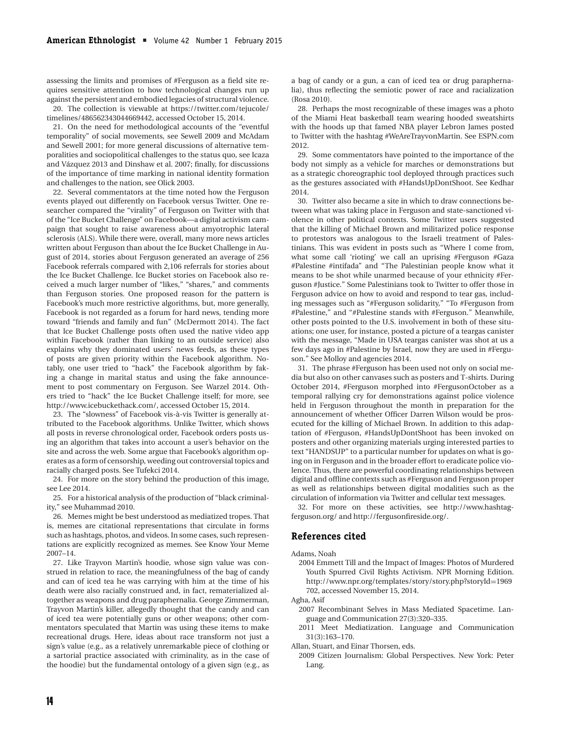assessing the limits and promises of #Ferguson as a field site requires sensitive attention to how technological changes run up against the persistent and embodied legacies of structural violence.

20. The collection is viewable at https://twitter.com/tejucole/ timelines/486562343044669442, accessed October 15, 2014.

21. On the need for methodological accounts of the "eventful temporality" of social movements, see Sewell 2009 and McAdam and Sewell 2001; for more general discussions of alternative temporalities and sociopolitical challenges to the status quo, see Icaza and Vázquez 2013 and Dinshaw et al. 2007; finally, for discussions of the importance of time marking in national identity formation and challenges to the nation, see Olick 2003.

22. Several commentators at the time noted how the Ferguson events played out differently on Facebook versus Twitter. One researcher compared the "virality" of Ferguson on Twitter with that of the "Ice Bucket Challenge" on Facebook—a digital activism campaign that sought to raise awareness about amyotrophic lateral sclerosis (ALS). While there were, overall, many more news articles written about Ferguson than about the Ice Bucket Challenge in August of 2014, stories about Ferguson generated an average of 256 Facebook referrals compared with 2,106 referrals for stories about the Ice Bucket Challenge. Ice Bucket stories on Facebook also received a much larger number of "likes," "shares," and comments than Ferguson stories. One proposed reason for the pattern is Facebook's much more restrictive algorithms, but, more generally, Facebook is not regarded as a forum for hard news, tending more toward "friends and family and fun" (McDermott 2014). The fact that Ice Bucket Challenge posts often used the native video app within Facebook (rather than linking to an outside service) also explains why they dominated users' news feeds, as these types of posts are given priority within the Facebook algorithm. Notably, one user tried to "hack" the Facebook algorithm by faking a change in marital status and using the fake announcement to post commentary on Ferguson. See Warzel 2014. Others tried to "hack" the Ice Bucket Challenge itself; for more, see http://www.icebuckethack.com/, accessed October 15, 2014.

23. The "slowness" of Facebook vis-à-vis Twitter is generally attributed to the Facebook algorithms. Unlike Twitter, which shows all posts in reverse chronological order, Facebook orders posts using an algorithm that takes into account a user's behavior on the site and across the web. Some argue that Facebook's algorithm operates as a form of censorship, weeding out controversial topics and racially charged posts. See Tufekci 2014.

24. For more on the story behind the production of this image, see Lee 2014.

25. For a historical analysis of the production of "black criminality," see Muhammad 2010.

26. Memes might be best understood as mediatized tropes. That is, memes are citational representations that circulate in forms such as hashtags, photos, and videos. In some cases, such representations are explicitly recognized as memes. See Know Your Meme 2007–14.

27. Like Trayvon Martin's hoodie, whose sign value was construed in relation to race, the meaningfulness of the bag of candy and can of iced tea he was carrying with him at the time of his death were also racially construed and, in fact, rematerialized altogether as weapons and drug paraphernalia. George Zimmerman, Trayvon Martin's killer, allegedly thought that the candy and can of iced tea were potentially guns or other weapons; other commentators speculated that Martin was using these items to make recreational drugs. Here, ideas about race transform not just a sign's value (e.g., as a relatively unremarkable piece of clothing or a sartorial practice associated with criminality, as in the case of the hoodie) but the fundamental ontology of a given sign (e.g., as

a bag of candy or a gun, a can of iced tea or drug paraphernalia), thus reflecting the semiotic power of race and racialization (Rosa 2010).

28. Perhaps the most recognizable of these images was a photo of the Miami Heat basketball team wearing hooded sweatshirts with the hoods up that famed NBA player Lebron James posted to Twitter with the hashtag #WeAreTrayvonMartin. See ESPN.com 2012.

29. Some commentators have pointed to the importance of the body not simply as a vehicle for marches or demonstrations but as a strategic choreographic tool deployed through practices such as the gestures associated with #HandsUpDontShoot. See Kedhar 2014.

30. Twitter also became a site in which to draw connections between what was taking place in Ferguson and state-sanctioned violence in other political contexts. Some Twitter users suggested that the killing of Michael Brown and militarized police response to protestors was analogous to the Israeli treatment of Palestinians. This was evident in posts such as "Where I come from, what some call 'rioting' we call an uprising #Ferguson #Gaza #Palestine #intifada" and "The Palestinian people know what it means to be shot while unarmed because of your ethnicity #Ferguson #Justice." Some Palestinians took to Twitter to offer those in Ferguson advice on how to avoid and respond to tear gas, including messages such as "#Ferguson solidarity," "To #Ferguson from #Palestine," and "#Palestine stands with #Ferguson." Meanwhile, other posts pointed to the U.S. involvement in both of these situations; one user, for instance, posted a picture of a teargas canister with the message, "Made in USA teargas canister was shot at us a few days ago in #Palestine by Israel, now they are used in #Ferguson." See Molloy and agencies 2014.

31. The phrase #Ferguson has been used not only on social media but also on other canvases such as posters and T-shirts. During October 2014, #Ferguson morphed into #FergusonOctober as a temporal rallying cry for demonstrations against police violence held in Ferguson throughout the month in preparation for the announcement of whether Officer Darren Wilson would be prosecuted for the killing of Michael Brown. In addition to this adaptation of #Ferguson, #HandsUpDontShoot has been invoked on posters and other organizing materials urging interested parties to text "HANDSUP" to a particular number for updates on what is going on in Ferguson and in the broader effort to eradicate police violence. Thus, there are powerful coordinating relationships between digital and offline contexts such as #Ferguson and Ferguson proper as well as relationships between digital modalities such as the circulation of information via Twitter and cellular text messages.

32. For more on these activities, see http://www.hashtagferguson.org/ and http://fergusonfireside.org/.

#### **References cited**

Adams, Noah

2004 Emmett Till and the Impact of Images: Photos of Murdered Youth Spurred Civil Rights Activism. NPR Morning Edition. http://www.npr.org/templates/story/story.php?storyId=1969 702, accessed November 15, 2014.

Agha, Asif

- 2007 Recombinant Selves in Mass Mediated Spacetime. Language and Communication 27(3):320–335.
- 2011 Meet Mediatization. Language and Communication 31(3):163–170.

Allan, Stuart, and Einar Thorsen, eds.

2009 Citizen Journalism: Global Perspectives. New York: Peter Lang.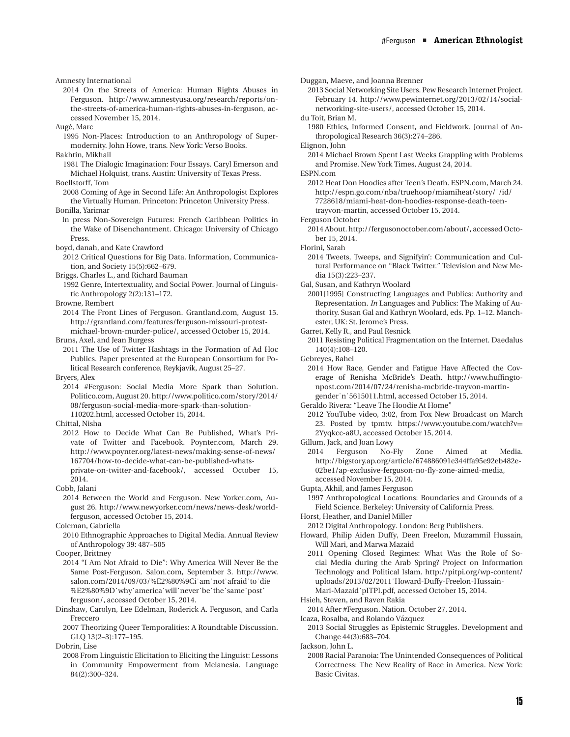```
Amnesty International
```
- 2014 On the Streets of America: Human Rights Abuses in Ferguson. http://www.amnestyusa.org/research/reports/onthe-streets-of-america-human-rights-abuses-in-ferguson, accessed November 15, 2014.
- Auge, Marc ´
- 1995 Non-Places: Introduction to an Anthropology of Supermodernity. John Howe, trans. New York: Verso Books.

Bakhtin, Mikhail

1981 The Dialogic Imagination: Four Essays. Caryl Emerson and Michael Holquist, trans. Austin: University of Texas Press.

Boellstorff, Tom

2008 Coming of Age in Second Life: An Anthropologist Explores the Virtually Human. Princeton: Princeton University Press.

Bonilla, Yarimar

- In press Non-Sovereign Futures: French Caribbean Politics in the Wake of Disenchantment. Chicago: University of Chicago Press.
- boyd, danah, and Kate Crawford
- 2012 Critical Questions for Big Data. Information, Communication, and Society 15(5):662–679.
- Briggs, Charles L., and Richard Bauman
- 1992 Genre, Intertextuality, and Social Power. Journal of Linguistic Anthropology 2(2):131–172.

Browne, Rembert

2014 The Front Lines of Ferguson. Grantland.com, August 15. http://grantland.com/features/ferguson-missouri-protestmichael-brown-murder-police/, accessed October 15, 2014.

Bruns, Axel, and Jean Burgess

2011 The Use of Twitter Hashtags in the Formation of Ad Hoc Publics. Paper presented at the European Consortium for Political Research conference, Reykjavik, August 25–27.

Bryers, Alex

2014 #Ferguson: Social Media More Spark than Solution. Politico.com, August 20. http://www.politico.com/story/2014/ 08/ferguson-social-media-more-spark-than-solution-110202.html, accessed October 15, 2014.

Chittal, Nisha

2012 How to Decide What Can Be Published, What's Private of Twitter and Facebook. Poynter.com, March 29. http://www.poynter.org/latest-news/making-sense-of-news/ 167704/how-to-decide-what-can-be-published-whatsprivate-on-twitter-and-facebook/, accessed October 15, 2014.

Cobb, Jalani

2014 Between the World and Ferguson. New Yorker.com, August 26. http://www.newyorker.com/news/news-desk/worldferguson, accessed October 15, 2014.

Coleman, Gabriella

2010 Ethnographic Approaches to Digital Media. Annual Review of Anthropology 39: 487–505

Cooper, Brittney

- 2014 "I Am Not Afraid to Die": Why America Will Never Be the Same Post-Ferguson. Salon.com, September 3. http://www. salon.com/2014/09/03/%E2%80%9Ci˙am˙not˙afraid˙to˙die %E2%80%9D˙why˙america˙will˙never˙be˙the˙same˙post˙ ferguson/, accessed October 15, 2014.
- Dinshaw, Carolyn, Lee Edelman, Roderick A. Ferguson, and Carla Freccero

2007 Theorizing Queer Temporalities: A Roundtable Discussion. GLQ 13(2–3):177–195.

Dobrin, Lise

2008 From Linguistic Elicitation to Eliciting the Linguist: Lessons in Community Empowerment from Melanesia. Language 84(2):300–324.

Duggan, Maeve, and Joanna Brenner

- 2013 Social Networking Site Users. Pew Research Internet Project. February 14. http://www.pewinternet.org/2013/02/14/socialnetworking-site-users/, accessed October 15, 2014.
- du Toit, Brian M.
	- 1980 Ethics, Informed Consent, and Fieldwork. Journal of Anthropological Research 36(3):274–286.
- Elignon, John

2014 Michael Brown Spent Last Weeks Grappling with Problems and Promise. New York Times, August 24, 2014.

ESPN.com

2012 Heat Don Hoodies after Teen's Death. ESPN.com, March 24. http://espn.go.com/nba/truehoop/miamiheat/story/˙/id/ 7728618/miami-heat-don-hoodies-response-death-teentrayvon-martin, accessed October 15, 2014.

Ferguson October

- 2014 About. http://fergusonoctober.com/about/, accessed October 15, 2014.
- Florini, Sarah
	- 2014 Tweets, Tweeps, and Signifyin': Communication and Cultural Performance on "Black Twitter." Television and New Media 15(3):223–237.
- Gal, Susan, and Kathryn Woolard
	- 2001[1995] Constructing Languages and Publics: Authority and Representation. *In* Languages and Publics: The Making of Authority. Susan Gal and Kathryn Woolard, eds. Pp. 1–12. Manchester, UK: St. Jerome's Press.

Garret, Kelly R., and Paul Resnick

- 2011 Resisting Political Fragmentation on the Internet. Daedalus 140(4):108–120.
- Gebreyes, Rahel
	- 2014 How Race, Gender and Fatigue Have Affected the Coverage of Renisha McBride's Death. http://www.huffingtonpost.com/2014/07/24/renisha-mcbride-trayvon-martingender˙n˙5615011.html, accessed October 15, 2014.

Geraldo Rivera: "Leave The Hoodie At Home"

2012 YouTube video, 3:02, from Fox New Broadcast on March 23. Posted by tpmtv. https://www.youtube.com/watch?v= 2Yyqkcc-a8U, accessed October 15, 2014.

- Gillum, Jack, and Joan Lowy
	- 2014 Ferguson No-Fly Zone Aimed at Media. http://bigstory.ap.org/article/674886091e344ffa95e92eb482e-02be1/ap-exclusive-ferguson-no-fly-zone-aimed-media, accessed November 15, 2014.

Gupta, Akhil, and James Ferguson

- 1997 Anthropological Locations: Boundaries and Grounds of a
- Field Science. Berkeley: University of California Press.
- Horst, Heather, and Daniel Miller
- 2012 Digital Anthropology. London: Berg Publishers.
- Howard, Philip Aiden Duffy, Deen Freelon, Muzammil Hussain, Will Mari, and Marwa Mazaid
	- 2011 Opening Closed Regimes: What Was the Role of Social Media during the Arab Spring? Project on Information Technology and Political Islam. http://pitpi.org/wp-content/ uploads/2013/02/2011˙Howard-Duffy-Freelon-Hussain-Mari-Mazaid˙pITPI.pdf, accessed October 15, 2014.

Hsieh, Steven, and Raven Rakia

- 2014 After #Ferguson. Nation. October 27, 2014.
- Icaza, Rosalba, and Rolando Vázquez
- 2013 Social Struggles as Epistemic Struggles. Development and Change 44(3):683–704.

Jackson, John L.

2008 Racial Paranoia: The Unintended Consequences of Political Correctness: The New Reality of Race in America. New York: Basic Civitas.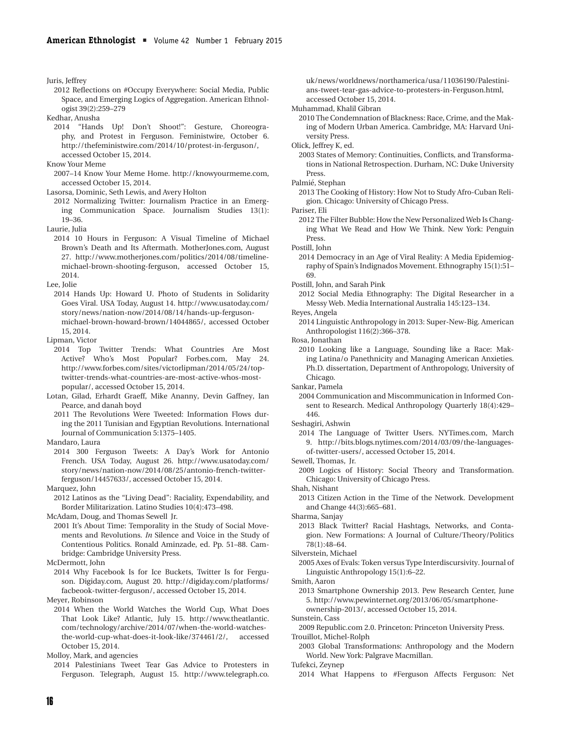Juris, Jeffrey

2012 Reflections on #Occupy Everywhere: Social Media, Public Space, and Emerging Logics of Aggregation. American Ethnologist 39(2):259–279

Kedhar, Anusha

2014 "Hands Up! Don't Shoot!": Gesture, Choreography, and Protest in Ferguson. Feministwire, October 6. http://thefeministwire.com/2014/10/protest-in-ferguson/, accessed October 15, 2014.

Know Your Meme

2007–14 Know Your Meme Home. http://knowyourmeme.com, accessed October 15, 2014.

Lasorsa, Dominic, Seth Lewis, and Avery Holton

2012 Normalizing Twitter: Journalism Practice in an Emerging Communication Space. Journalism Studies 13(1): 19–36.

Laurie, Julia

2014 10 Hours in Ferguson: A Visual Timeline of Michael Brown's Death and Its Aftermath. MotherJones.com, August 27. http://www.motherjones.com/politics/2014/08/timelinemichael-brown-shooting-ferguson, accessed October 15, 2014.

Lee, Jolie

- 2014 Hands Up: Howard U. Photo of Students in Solidarity Goes Viral. USA Today, August 14. http://www.usatoday.com/ story/news/nation-now/2014/08/14/hands-up-fergusonmichael-brown-howard-brown/14044865/, accessed October 15, 2014.
- Lipman, Victor
- 2014 Top Twitter Trends: What Countries Are Most Active? Who's Most Popular? Forbes.com, May 24. http://www.forbes.com/sites/victorlipman/2014/05/24/toptwitter-trends-what-countries-are-most-active-whos-mostpopular/, accessed October 15, 2014.
- Lotan, Gilad, Erhardt Graeff, Mike Ananny, Devin Gaffney, Ian Pearce, and danah boyd
- 2011 The Revolutions Were Tweeted: Information Flows during the 2011 Tunisian and Egyptian Revolutions. International Journal of Communication 5:1375–1405.

Mandaro, Laura

2014 300 Ferguson Tweets: A Day's Work for Antonio French. USA Today, August 26. http://www.usatoday.com/ story/news/nation-now/2014/08/25/antonio-french-twitterferguson/14457633/, accessed October 15, 2014.

Marquez, John

2012 Latinos as the "Living Dead": Raciality, Expendability, and Border Militarization. Latino Studies 10(4):473–498.

McAdam, Doug, and Thomas Sewell Jr.

2001 It's About Time: Temporality in the Study of Social Movements and Revolutions. *In* Silence and Voice in the Study of Contentious Politics. Ronald Aminzade, ed. Pp. 51–88. Cambridge: Cambridge University Press.

McDermott, John

2014 Why Facebook Is for Ice Buckets, Twitter Is for Ferguson. Digiday.com, August 20. http://digiday.com/platforms/ facbeook-twitter-ferguson/, accessed October 15, 2014.

Meyer, Robinson

2014 When the World Watches the World Cup, What Does That Look Like? Atlantic, July 15. http://www.theatlantic. com/technology/archive/2014/07/when-the-world-watchesthe-world-cup-what-does-it-look-like/374461/2/, accessed October 15, 2014.

Molloy, Mark, and agencies

2014 Palestinians Tweet Tear Gas Advice to Protesters in Ferguson. Telegraph, August 15. http://www.telegraph.co.

uk/news/worldnews/northamerica/usa/11036190/Palestinians-tweet-tear-gas-advice-to-protesters-in-Ferguson.html, accessed October 15, 2014.

Muhammad, Khalil Gibran

2010 The Condemnation of Blackness: Race, Crime, and the Making of Modern Urban America. Cambridge, MA: Harvard University Press.

Olick, Jeffrey K, ed.

2003 States of Memory: Continuities, Conflicts, and Transformations in National Retrospection. Durham, NC: Duke University Press.

Palmié, Stephan

2013 The Cooking of History: How Not to Study Afro-Cuban Religion. Chicago: University of Chicago Press.

Pariser, Eli

- 2012 The Filter Bubble: How the New Personalized Web Is Changing What We Read and How We Think. New York: Penguin Press.
- Postill, John
	- 2014 Democracy in an Age of Viral Reality: A Media Epidemiography of Spain's Indignados Movement. Ethnography 15(1):51– 69.
- Postill, John, and Sarah Pink

2012 Social Media Ethnography: The Digital Researcher in a Messy Web. Media International Australia 145:123–134.

Reyes, Angela

- 2014 Linguistic Anthropology in 2013: Super-New-Big. American Anthropologist 116(2):366–378.
- Rosa, Jonathan

2010 Looking like a Language, Sounding like a Race: Making Latina/o Panethnicity and Managing American Anxieties. Ph.D. dissertation, Department of Anthropology, University of Chicago.

Sankar, Pamela

2004 Communication and Miscommunication in Informed Consent to Research. Medical Anthropology Quarterly 18(4):429– 446.

Seshagiri, Ashwin

2014 The Language of Twitter Users. NYTimes.com, March 9. http://bits.blogs.nytimes.com/2014/03/09/the-languagesof-twitter-users/, accessed October 15, 2014.

Sewell, Thomas, Jr.

2009 Logics of History: Social Theory and Transformation. Chicago: University of Chicago Press.

Shah, Nishant

2013 Citizen Action in the Time of the Network. Development and Change 44(3):665–681.

Sharma, Sanjay

2013 Black Twitter? Racial Hashtags, Networks, and Contagion. New Formations: A Journal of Culture/Theory/Politics 78(1):48–64.

Silverstein, Michael

2005 Axes of Evals: Token versus Type Interdiscursivity. Journal of Linguistic Anthropology 15(1):6–22.

Smith, Aaron

2013 Smartphone Ownership 2013. Pew Research Center, June 5. http://www.pewinternet.org/2013/06/05/smartphoneownership-2013/, accessed October 15, 2014.

Sunstein, Cass

2009 Republic.com 2.0. Princeton: Princeton University Press. Trouillot, Michel-Rolph

2003 Global Transformations: Anthropology and the Modern World. New York: Palgrave Macmillan.

Tufekci, Zeynep

2014 What Happens to #Ferguson Affects Ferguson: Net